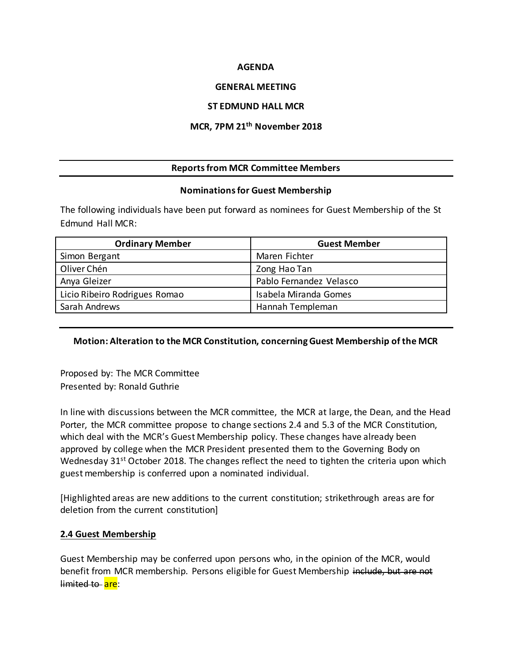#### **AGENDA**

## **GENERAL MEETING**

#### **ST EDMUND HALL MCR**

## **MCR, 7PM 21th November 2018**

# **Reports from MCR Committee Members**

#### **Nominations for Guest Membership**

The following individuals have been put forward as nominees for Guest Membership of the St Edmund Hall MCR:

| <b>Ordinary Member</b>        | <b>Guest Member</b>     |
|-------------------------------|-------------------------|
| Simon Bergant                 | Maren Fichter           |
| Oliver Chén                   | Zong Hao Tan            |
| Anya Gleizer                  | Pablo Fernandez Velasco |
| Licio Ribeiro Rodrigues Romao | Isabela Miranda Gomes   |
| Sarah Andrews                 | Hannah Templeman        |

# **Motion: Alteration to the MCR Constitution, concerning Guest Membership of the MCR**

Proposed by: The MCR Committee Presented by: Ronald Guthrie

In line with discussions between the MCR committee, the MCR at large, the Dean, and the Head Porter, the MCR committee propose to change sections 2.4 and 5.3 of the MCR Constitution, which deal with the MCR's Guest Membership policy. These changes have already been approved by college when the MCR President presented them to the Governing Body on Wednesday 31<sup>st</sup> October 2018. The changes reflect the need to tighten the criteria upon which guest membership is conferred upon a nominated individual.

[Highlighted areas are new additions to the current constitution; strikethrough areas are for deletion from the current constitution]

# **2.4 Guest Membership**

Guest Membership may be conferred upon persons who, in the opinion of the MCR, would benefit from MCR membership. Persons eligible for Guest Membership include, but are not limited to are: